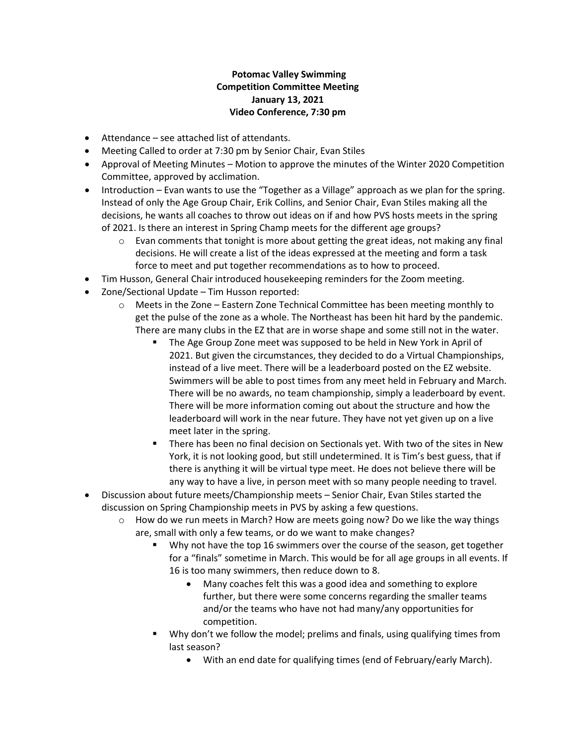## **Potomac Valley Swimming Competition Committee Meeting January 13, 2021 Video Conference, 7:30 pm**

- Attendance see attached list of attendants.
- Meeting Called to order at 7:30 pm by Senior Chair, Evan Stiles
- Approval of Meeting Minutes Motion to approve the minutes of the Winter 2020 Competition Committee, approved by acclimation.
- Introduction Evan wants to use the "Together as a Village" approach as we plan for the spring. Instead of only the Age Group Chair, Erik Collins, and Senior Chair, Evan Stiles making all the decisions, he wants all coaches to throw out ideas on if and how PVS hosts meets in the spring of 2021. Is there an interest in Spring Champ meets for the different age groups?
	- $\circ$  Evan comments that tonight is more about getting the great ideas, not making any final decisions. He will create a list of the ideas expressed at the meeting and form a task force to meet and put together recommendations as to how to proceed.
- Tim Husson, General Chair introduced housekeeping reminders for the Zoom meeting.
- Zone/Sectional Update Tim Husson reported:
	- $\circ$  Meets in the Zone Eastern Zone Technical Committee has been meeting monthly to get the pulse of the zone as a whole. The Northeast has been hit hard by the pandemic. There are many clubs in the EZ that are in worse shape and some still not in the water.
		- The Age Group Zone meet was supposed to be held in New York in April of 2021. But given the circumstances, they decided to do a Virtual Championships, instead of a live meet. There will be a leaderboard posted on the EZ website. Swimmers will be able to post times from any meet held in February and March. There will be no awards, no team championship, simply a leaderboard by event. There will be more information coming out about the structure and how the leaderboard will work in the near future. They have not yet given up on a live meet later in the spring.
		- There has been no final decision on Sectionals yet. With two of the sites in New York, it is not looking good, but still undetermined. It is Tim's best guess, that if there is anything it will be virtual type meet. He does not believe there will be any way to have a live, in person meet with so many people needing to travel.
- Discussion about future meets/Championship meets Senior Chair, Evan Stiles started the discussion on Spring Championship meets in PVS by asking a few questions.
	- $\circ$  How do we run meets in March? How are meets going now? Do we like the way things are, small with only a few teams, or do we want to make changes?
		- Why not have the top 16 swimmers over the course of the season, get together for a "finals" sometime in March. This would be for all age groups in all events. If 16 is too many swimmers, then reduce down to 8.
			- Many coaches felt this was a good idea and something to explore further, but there were some concerns regarding the smaller teams and/or the teams who have not had many/any opportunities for competition.
		- Why don't we follow the model; prelims and finals, using qualifying times from last season?
			- With an end date for qualifying times (end of February/early March).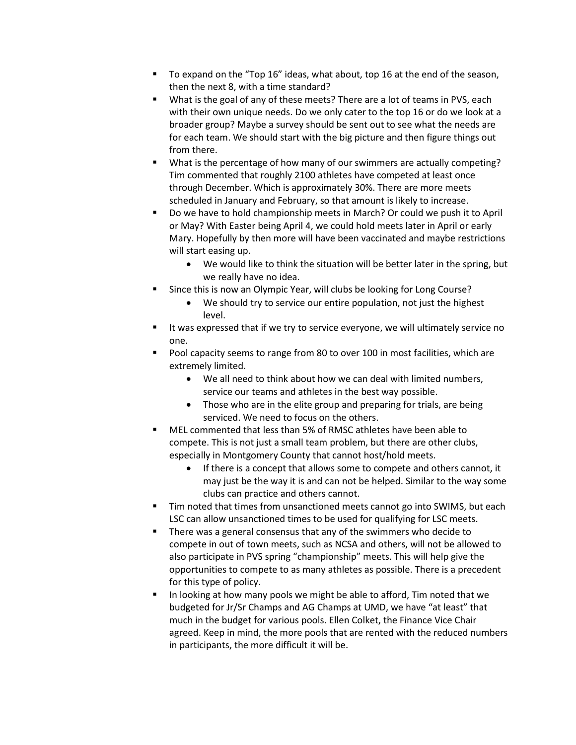- To expand on the "Top 16" ideas, what about, top 16 at the end of the season, then the next 8, with a time standard?
- What is the goal of any of these meets? There are a lot of teams in PVS, each with their own unique needs. Do we only cater to the top 16 or do we look at a broader group? Maybe a survey should be sent out to see what the needs are for each team. We should start with the big picture and then figure things out from there.
- What is the percentage of how many of our swimmers are actually competing? Tim commented that roughly 2100 athletes have competed at least once through December. Which is approximately 30%. There are more meets scheduled in January and February, so that amount is likely to increase.
- Do we have to hold championship meets in March? Or could we push it to April or May? With Easter being April 4, we could hold meets later in April or early Mary. Hopefully by then more will have been vaccinated and maybe restrictions will start easing up.
	- We would like to think the situation will be better later in the spring, but we really have no idea.
- **Since this is now an Olympic Year, will clubs be looking for Long Course?** 
	- We should try to service our entire population, not just the highest level.
- It was expressed that if we try to service everyone, we will ultimately service no one.
- Pool capacity seems to range from 80 to over 100 in most facilities, which are extremely limited.
	- We all need to think about how we can deal with limited numbers, service our teams and athletes in the best way possible.
	- Those who are in the elite group and preparing for trials, are being serviced. We need to focus on the others.
- MEL commented that less than 5% of RMSC athletes have been able to compete. This is not just a small team problem, but there are other clubs, especially in Montgomery County that cannot host/hold meets.
	- If there is a concept that allows some to compete and others cannot, it may just be the way it is and can not be helped. Similar to the way some clubs can practice and others cannot.
- Tim noted that times from unsanctioned meets cannot go into SWIMS, but each LSC can allow unsanctioned times to be used for qualifying for LSC meets.
- There was a general consensus that any of the swimmers who decide to compete in out of town meets, such as NCSA and others, will not be allowed to also participate in PVS spring "championship" meets. This will help give the opportunities to compete to as many athletes as possible. There is a precedent for this type of policy.
- In looking at how many pools we might be able to afford, Tim noted that we budgeted for Jr/Sr Champs and AG Champs at UMD, we have "at least" that much in the budget for various pools. Ellen Colket, the Finance Vice Chair agreed. Keep in mind, the more pools that are rented with the reduced numbers in participants, the more difficult it will be.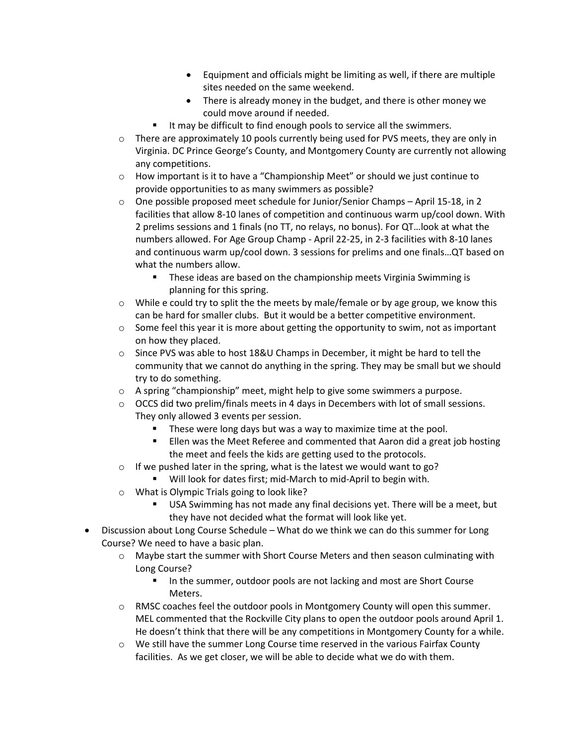- Equipment and officials might be limiting as well, if there are multiple sites needed on the same weekend.
- There is already money in the budget, and there is other money we could move around if needed.
- It may be difficult to find enough pools to service all the swimmers.
- $\circ$  There are approximately 10 pools currently being used for PVS meets, they are only in Virginia. DC Prince George's County, and Montgomery County are currently not allowing any competitions.
- $\circ$  How important is it to have a "Championship Meet" or should we just continue to provide opportunities to as many swimmers as possible?
- o One possible proposed meet schedule for Junior/Senior Champs April 15-18, in 2 facilities that allow 8-10 lanes of competition and continuous warm up/cool down. With 2 prelims sessions and 1 finals (no TT, no relays, no bonus). For QT…look at what the numbers allowed. For Age Group Champ - April 22-25, in 2-3 facilities with 8-10 lanes and continuous warm up/cool down. 3 sessions for prelims and one finals…QT based on what the numbers allow.
	- These ideas are based on the championship meets Virginia Swimming is planning for this spring.
- $\circ$  While e could try to split the the meets by male/female or by age group, we know this can be hard for smaller clubs. But it would be a better competitive environment.
- $\circ$  Some feel this year it is more about getting the opportunity to swim, not as important on how they placed.
- $\circ$  Since PVS was able to host 18&U Champs in December, it might be hard to tell the community that we cannot do anything in the spring. They may be small but we should try to do something.
- o A spring "championship" meet, might help to give some swimmers a purpose.
- $\circ$  OCCS did two prelim/finals meets in 4 days in Decembers with lot of small sessions. They only allowed 3 events per session.
	- These were long days but was a way to maximize time at the pool.
	- **Ellen was the Meet Referee and commented that Aaron did a great job hosting** the meet and feels the kids are getting used to the protocols.
- $\circ$  If we pushed later in the spring, what is the latest we would want to go?
	- Will look for dates first; mid-March to mid-April to begin with.
- o What is Olympic Trials going to look like?
	- USA Swimming has not made any final decisions yet. There will be a meet, but they have not decided what the format will look like yet.
- Discussion about Long Course Schedule What do we think we can do this summer for Long Course? We need to have a basic plan.
	- $\circ$  Maybe start the summer with Short Course Meters and then season culminating with Long Course?
		- In the summer, outdoor pools are not lacking and most are Short Course Meters.
	- $\circ$  RMSC coaches feel the outdoor pools in Montgomery County will open this summer. MEL commented that the Rockville City plans to open the outdoor pools around April 1. He doesn't think that there will be any competitions in Montgomery County for a while.
	- o We still have the summer Long Course time reserved in the various Fairfax County facilities. As we get closer, we will be able to decide what we do with them.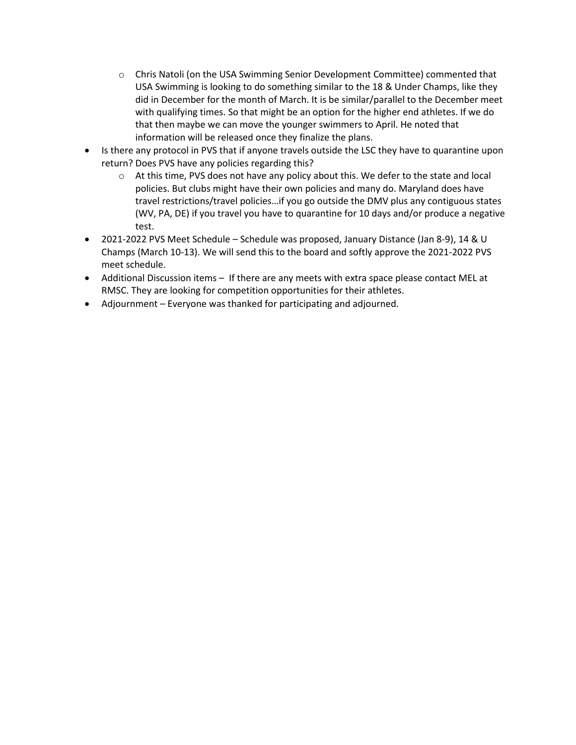- o Chris Natoli (on the USA Swimming Senior Development Committee) commented that USA Swimming is looking to do something similar to the 18 & Under Champs, like they did in December for the month of March. It is be similar/parallel to the December meet with qualifying times. So that might be an option for the higher end athletes. If we do that then maybe we can move the younger swimmers to April. He noted that information will be released once they finalize the plans.
- Is there any protocol in PVS that if anyone travels outside the LSC they have to quarantine upon return? Does PVS have any policies regarding this?
	- $\circ$  At this time, PVS does not have any policy about this. We defer to the state and local policies. But clubs might have their own policies and many do. Maryland does have travel restrictions/travel policies…if you go outside the DMV plus any contiguous states (WV, PA, DE) if you travel you have to quarantine for 10 days and/or produce a negative test.
- 2021-2022 PVS Meet Schedule Schedule was proposed, January Distance (Jan 8-9), 14 & U Champs (March 10-13). We will send this to the board and softly approve the 2021-2022 PVS meet schedule.
- Additional Discussion items If there are any meets with extra space please contact MEL at RMSC. They are looking for competition opportunities for their athletes.
- Adjournment Everyone was thanked for participating and adjourned.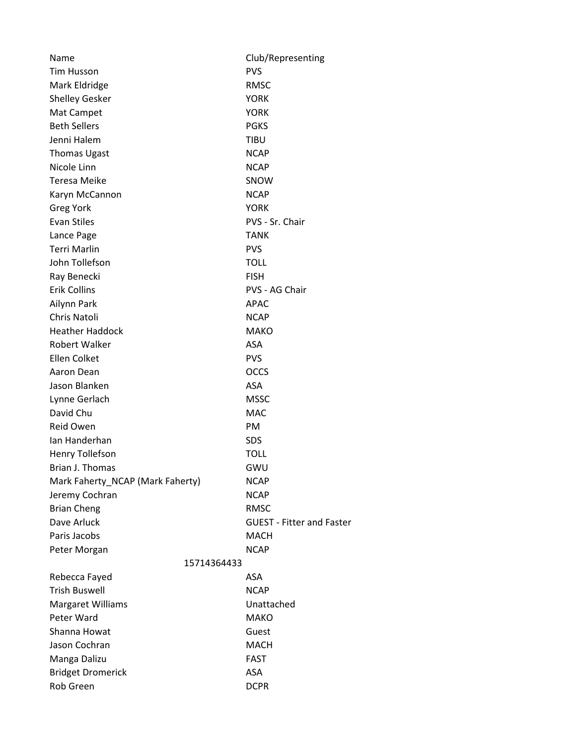| Name                             | Club/Representing                |
|----------------------------------|----------------------------------|
| <b>Tim Husson</b>                | <b>PVS</b>                       |
| Mark Eldridge                    | <b>RMSC</b>                      |
| <b>Shelley Gesker</b>            | <b>YORK</b>                      |
| Mat Campet                       | <b>YORK</b>                      |
| <b>Beth Sellers</b>              | <b>PGKS</b>                      |
| Jenni Halem                      | <b>TIBU</b>                      |
| <b>Thomas Ugast</b>              | <b>NCAP</b>                      |
| Nicole Linn                      | <b>NCAP</b>                      |
| Teresa Meike                     | SNOW                             |
| Karyn McCannon                   | <b>NCAP</b>                      |
| <b>Greg York</b>                 | <b>YORK</b>                      |
| <b>Evan Stiles</b>               | PVS - Sr. Chair                  |
| Lance Page                       | <b>TANK</b>                      |
| <b>Terri Marlin</b>              | <b>PVS</b>                       |
| John Tollefson                   | <b>TOLL</b>                      |
| Ray Benecki                      | <b>FISH</b>                      |
| <b>Erik Collins</b>              | PVS - AG Chair                   |
| Ailynn Park                      | <b>APAC</b>                      |
| <b>Chris Natoli</b>              | <b>NCAP</b>                      |
| <b>Heather Haddock</b>           | <b>MAKO</b>                      |
| Robert Walker                    | ASA                              |
| Ellen Colket                     | <b>PVS</b>                       |
| Aaron Dean                       | <b>OCCS</b>                      |
| Jason Blanken                    | ASA                              |
| Lynne Gerlach                    | <b>MSSC</b>                      |
| David Chu                        | <b>MAC</b>                       |
| <b>Reid Owen</b>                 | PM                               |
| Ian Handerhan                    | <b>SDS</b>                       |
| <b>Henry Tollefson</b>           | TOLL                             |
| Brian J. Thomas                  | GWU                              |
| Mark Faherty_NCAP (Mark Faherty) | <b>NCAP</b>                      |
| Jeremy Cochran                   | <b>NCAP</b>                      |
| <b>Brian Cheng</b>               | <b>RMSC</b>                      |
| Dave Arluck                      | <b>GUEST - Fitter and Faster</b> |
| Paris Jacobs                     | <b>MACH</b>                      |
| Peter Morgan                     | <b>NCAP</b>                      |
| 15714364433                      |                                  |
| Rebecca Fayed                    | ASA                              |
| <b>Trish Buswell</b>             | <b>NCAP</b>                      |
| <b>Margaret Williams</b>         | Unattached                       |
| Peter Ward                       | <b>MAKO</b>                      |
| Shanna Howat                     | Guest                            |
| Jason Cochran                    | <b>MACH</b>                      |
| Manga Dalizu                     | FAST                             |
| <b>Bridget Dromerick</b>         | ASA                              |
| Rob Green                        | <b>DCPR</b>                      |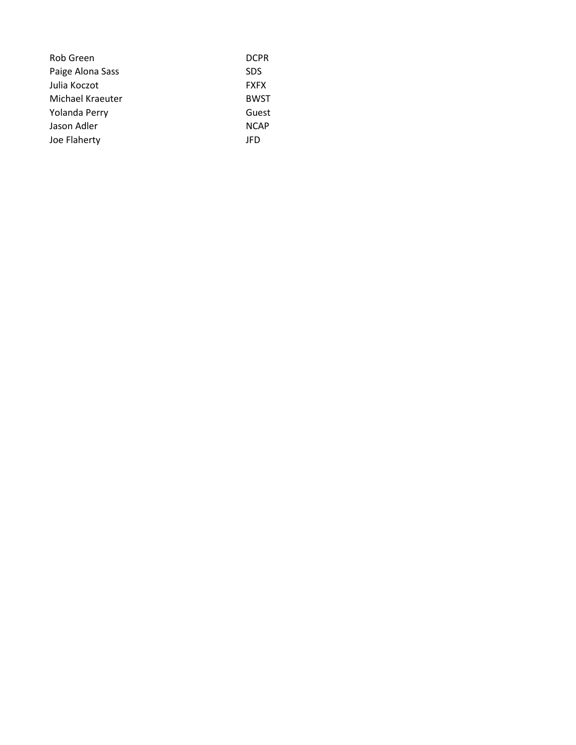| <b>Rob Green</b> | <b>DCPR</b> |
|------------------|-------------|
| Paige Alona Sass | <b>SDS</b>  |
| Julia Koczot     | <b>FXFX</b> |
| Michael Kraeuter | <b>BWST</b> |
| Yolanda Perry    | Guest       |
| Jason Adler      | <b>NCAP</b> |
| Joe Flaherty     | JFD         |